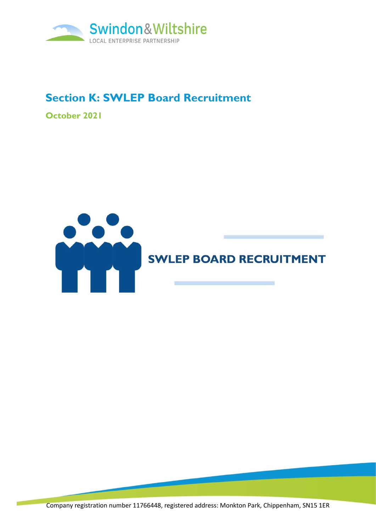

# **Section K: SWLEP Board Recruitment**

**October 2021**



Company registration number 11766448, registered address: Monkton Park, Chippenham, SN15 1ER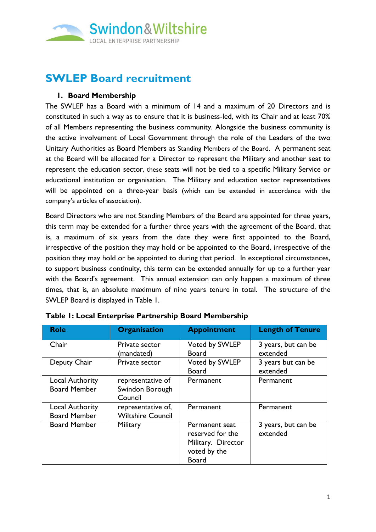

## **SWLEP Board recruitment**

#### **1. Board Membership**

The SWLEP has a Board with a minimum of 14 and a maximum of 20 Directors and is constituted in such a way as to ensure that it is business-led, with its Chair and at least 70% of all Members representing the business community. Alongside the business community is the active involvement of Local Government through the role of the Leaders of the two Unitary Authorities as Board Members as Standing Members of the Board. A permanent seat at the Board will be allocated for a Director to represent the Military and another seat to represent the education sector, these seats will not be tied to a specific Military Service or educational institution or organisation. The Military and education sector representatives will be appointed on a three-year basis (which can be extended in accordance with the company's articles of association).

Board Directors who are not Standing Members of the Board are appointed for three years, this term may be extended for a further three years with the agreement of the Board, that is, a maximum of six years from the date they were first appointed to the Board, irrespective of the position they may hold or be appointed to the Board, irrespective of the position they may hold or be appointed to during that period. In exceptional circumstances, to support business continuity, this term can be extended annually for up to a further year with the Board's agreement. This annual extension can only happen a maximum of three times, that is, an absolute maximum of nine years tenure in total. The structure of the SWLEP Board is displayed in Table 1.

| <b>Role</b>                                   | <b>Organisation</b>                             | <b>Appointment</b>                                                                       | <b>Length of Tenure</b>         |
|-----------------------------------------------|-------------------------------------------------|------------------------------------------------------------------------------------------|---------------------------------|
| Chair                                         | Private sector<br>(mandated)                    | Voted by SWLEP<br><b>Board</b>                                                           | 3 years, but can be<br>extended |
| Deputy Chair                                  | Private sector                                  | Voted by SWLEP<br><b>Board</b>                                                           | 3 years but can be<br>extended  |
| <b>Local Authority</b><br><b>Board Member</b> | representative of<br>Swindon Borough<br>Council | Permanent                                                                                | Permanent                       |
| <b>Local Authority</b><br><b>Board Member</b> | representative of,<br><b>Wiltshire Council</b>  | Permanent                                                                                | Permanent                       |
| <b>Board Member</b>                           | Military                                        | Permanent seat<br>reserved for the<br>Military. Director<br>voted by the<br><b>Board</b> | 3 years, but can be<br>extended |

**Table 1: Local Enterprise Partnership Board Membership**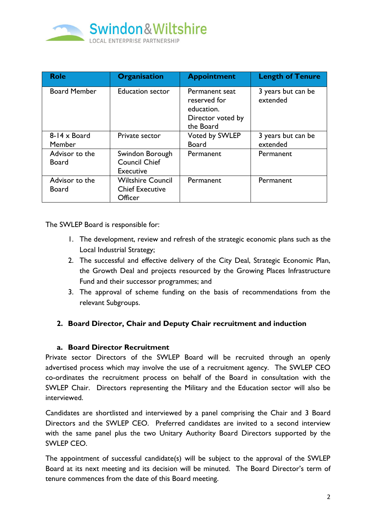

| <b>Role</b>                    | <b>Organisation</b>                                                  | <b>Appointment</b>                                                             | <b>Length of Tenure</b>        |
|--------------------------------|----------------------------------------------------------------------|--------------------------------------------------------------------------------|--------------------------------|
| <b>Board Member</b>            | <b>Education sector</b>                                              | Permanent seat<br>reserved for<br>education.<br>Director voted by<br>the Board | 3 years but can be<br>extended |
| $8-14 \times$ Board<br>Member  | Private sector                                                       | Voted by SWLEP<br><b>Board</b>                                                 | 3 years but can be<br>extended |
| Advisor to the<br><b>Board</b> | Swindon Borough<br><b>Council Chief</b><br><b>Executive</b>          | Permanent                                                                      | Permanent                      |
| Advisor to the<br><b>Board</b> | <b>Wiltshire Council</b><br><b>Chief Executive</b><br><b>Officer</b> | Permanent                                                                      | Permanent                      |

The SWLEP Board is responsible for:

- 1. The development, review and refresh of the strategic economic plans such as the Local Industrial Strategy;
- 2. The successful and effective delivery of the City Deal, Strategic Economic Plan, the Growth Deal and projects resourced by the Growing Places Infrastructure Fund and their successor programmes; and
- 3. The approval of scheme funding on the basis of recommendations from the relevant Subgroups.

## **2. Board Director, Chair and Deputy Chair recruitment and induction**

## **a. Board Director Recruitment**

Private sector Directors of the SWLEP Board will be recruited through an openly advertised process which may involve the use of a recruitment agency. The SWLEP CEO co-ordinates the recruitment process on behalf of the Board in consultation with the SWLEP Chair. Directors representing the Military and the Education sector will also be interviewed.

Candidates are shortlisted and interviewed by a panel comprising the Chair and 3 Board Directors and the SWLEP CEO. Preferred candidates are invited to a second interview with the same panel plus the two Unitary Authority Board Directors supported by the SWLEP CEO.

The appointment of successful candidate(s) will be subject to the approval of the SWLEP Board at its next meeting and its decision will be minuted. The Board Director's term of tenure commences from the date of this Board meeting.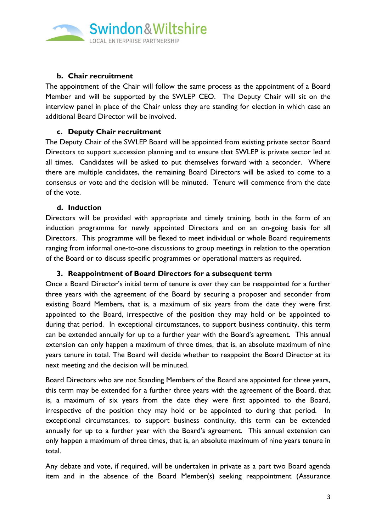

## **b. Chair recruitment**

The appointment of the Chair will follow the same process as the appointment of a Board Member and will be supported by the SWLEP CEO. The Deputy Chair will sit on the interview panel in place of the Chair unless they are standing for election in which case an additional Board Director will be involved.

#### **c. Deputy Chair recruitment**

The Deputy Chair of the SWLEP Board will be appointed from existing private sector Board Directors to support succession planning and to ensure that SWLEP is private sector led at all times. Candidates will be asked to put themselves forward with a seconder. Where there are multiple candidates, the remaining Board Directors will be asked to come to a consensus or vote and the decision will be minuted. Tenure will commence from the date of the vote.

#### **d. Induction**

Directors will be provided with appropriate and timely training, both in the form of an induction programme for newly appointed Directors and on an on-going basis for all Directors. This programme will be flexed to meet individual or whole Board requirements ranging from informal one-to-one discussions to group meetings in relation to the operation of the Board or to discuss specific programmes or operational matters as required.

## **3. Reappointment of Board Directors for a subsequent term**

Once a Board Director's initial term of tenure is over they can be reappointed for a further three years with the agreement of the Board by securing a proposer and seconder from existing Board Members, that is, a maximum of six years from the date they were first appointed to the Board, irrespective of the position they may hold or be appointed to during that period. In exceptional circumstances, to support business continuity, this term can be extended annually for up to a further year with the Board's agreement. This annual extension can only happen a maximum of three times, that is, an absolute maximum of nine years tenure in total. The Board will decide whether to reappoint the Board Director at its next meeting and the decision will be minuted.

Board Directors who are not Standing Members of the Board are appointed for three years, this term may be extended for a further three years with the agreement of the Board, that is, a maximum of six years from the date they were first appointed to the Board, irrespective of the position they may hold or be appointed to during that period. In exceptional circumstances, to support business continuity, this term can be extended annually for up to a further year with the Board's agreement. This annual extension can only happen a maximum of three times, that is, an absolute maximum of nine years tenure in total.

Any debate and vote, if required, will be undertaken in private as a part two Board agenda item and in the absence of the Board Member(s) seeking reappointment (Assurance